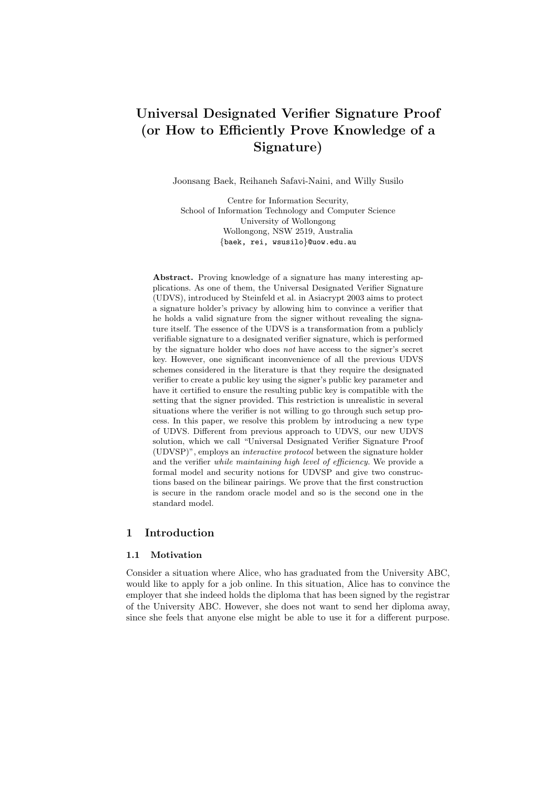# Universal Designated Verifier Signature Proof (or How to Efficiently Prove Knowledge of a Signature)

Joonsang Baek, Reihaneh Safavi-Naini, and Willy Susilo

Centre for Information Security, School of Information Technology and Computer Science University of Wollongong Wollongong, NSW 2519, Australia {baek, rei, wsusilo}@uow.edu.au

Abstract. Proving knowledge of a signature has many interesting applications. As one of them, the Universal Designated Verifier Signature (UDVS), introduced by Steinfeld et al. in Asiacrypt 2003 aims to protect a signature holder's privacy by allowing him to convince a verifier that he holds a valid signature from the signer without revealing the signature itself. The essence of the UDVS is a transformation from a publicly verifiable signature to a designated verifier signature, which is performed by the signature holder who does not have access to the signer's secret key. However, one significant inconvenience of all the previous UDVS schemes considered in the literature is that they require the designated verifier to create a public key using the signer's public key parameter and have it certified to ensure the resulting public key is compatible with the setting that the signer provided. This restriction is unrealistic in several situations where the verifier is not willing to go through such setup process. In this paper, we resolve this problem by introducing a new type of UDVS. Different from previous approach to UDVS, our new UDVS solution, which we call "Universal Designated Verifier Signature Proof (UDVSP)", employs an interactive protocol between the signature holder and the verifier while maintaining high level of efficiency. We provide a formal model and security notions for UDVSP and give two constructions based on the bilinear pairings. We prove that the first construction is secure in the random oracle model and so is the second one in the standard model.

#### 1 Introduction

#### 1.1 Motivation

Consider a situation where Alice, who has graduated from the University ABC, would like to apply for a job online. In this situation, Alice has to convince the employer that she indeed holds the diploma that has been signed by the registrar of the University ABC. However, she does not want to send her diploma away, since she feels that anyone else might be able to use it for a different purpose.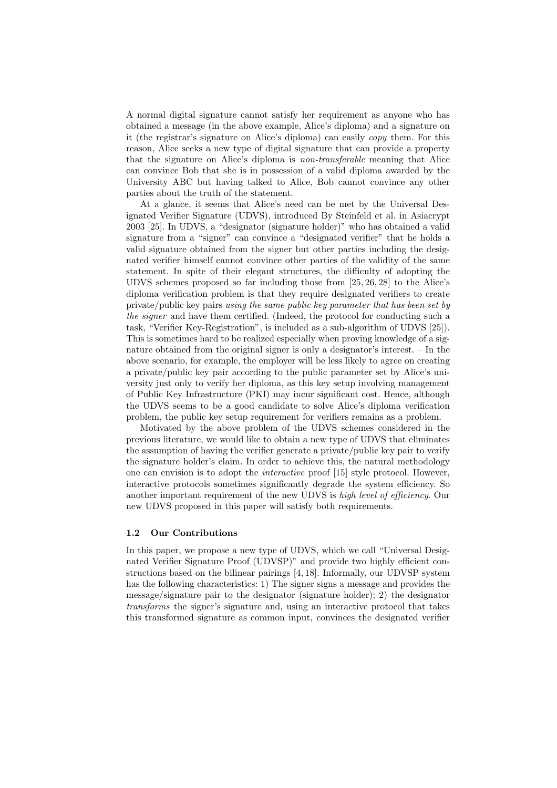A normal digital signature cannot satisfy her requirement as anyone who has obtained a message (in the above example, Alice's diploma) and a signature on it (the registrar's signature on Alice's diploma) can easily copy them. For this reason, Alice seeks a new type of digital signature that can provide a property that the signature on Alice's diploma is non-transferable meaning that Alice can convince Bob that she is in possession of a valid diploma awarded by the University ABC but having talked to Alice, Bob cannot convince any other parties about the truth of the statement.

At a glance, it seems that Alice's need can be met by the Universal Designated Verifier Signature (UDVS), introduced By Steinfeld et al. in Asiacrypt 2003 [25]. In UDVS, a "designator (signature holder)" who has obtained a valid signature from a "signer" can convince a "designated verifier" that he holds a valid signature obtained from the signer but other parties including the designated verifier himself cannot convince other parties of the validity of the same statement. In spite of their elegant structures, the difficulty of adopting the UDVS schemes proposed so far including those from [25, 26, 28] to the Alice's diploma verification problem is that they require designated verifiers to create private/public key pairs using the same public key parameter that has been set by the signer and have them certified. (Indeed, the protocol for conducting such a task, "Verifier Key-Registration", is included as a sub-algorithm of UDVS [25]). This is sometimes hard to be realized especially when proving knowledge of a signature obtained from the original signer is only a designator's interest. – In the above scenario, for example, the employer will be less likely to agree on creating a private/public key pair according to the public parameter set by Alice's university just only to verify her diploma, as this key setup involving management of Public Key Infrastructure (PKI) may incur significant cost. Hence, although the UDVS seems to be a good candidate to solve Alice's diploma verification problem, the public key setup requirement for verifiers remains as a problem.

Motivated by the above problem of the UDVS schemes considered in the previous literature, we would like to obtain a new type of UDVS that eliminates the assumption of having the verifier generate a private/public key pair to verify the signature holder's claim. In order to achieve this, the natural methodology one can envision is to adopt the interactive proof [15] style protocol. However, interactive protocols sometimes significantly degrade the system efficiency. So another important requirement of the new UDVS is high level of efficiency. Our new UDVS proposed in this paper will satisfy both requirements.

#### 1.2 Our Contributions

In this paper, we propose a new type of UDVS, which we call "Universal Designated Verifier Signature Proof (UDVSP)" and provide two highly efficient constructions based on the bilinear pairings [4, 18]. Informally, our UDVSP system has the following characteristics: 1) The signer signs a message and provides the message/signature pair to the designator (signature holder); 2) the designator transforms the signer's signature and, using an interactive protocol that takes this transformed signature as common input, convinces the designated verifier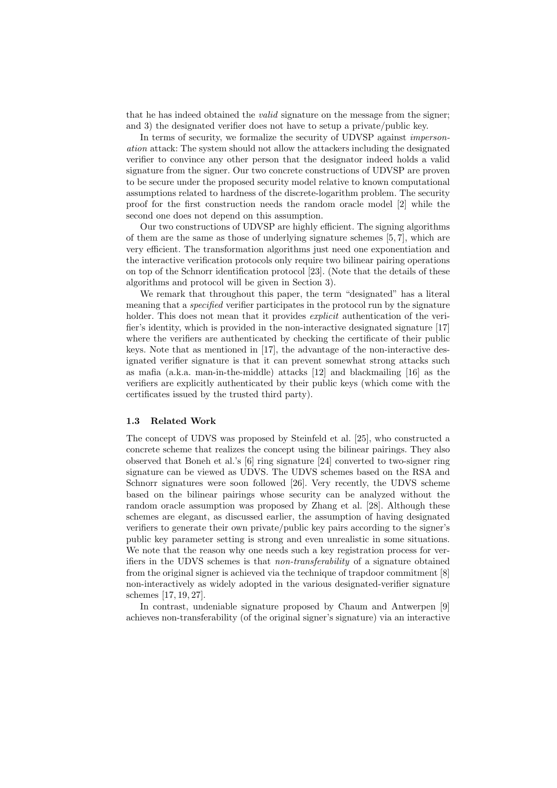that he has indeed obtained the *valid* signature on the message from the signer; and 3) the designated verifier does not have to setup a private/public key.

In terms of security, we formalize the security of UDVSP against *imperson*ation attack: The system should not allow the attackers including the designated verifier to convince any other person that the designator indeed holds a valid signature from the signer. Our two concrete constructions of UDVSP are proven to be secure under the proposed security model relative to known computational assumptions related to hardness of the discrete-logarithm problem. The security proof for the first construction needs the random oracle model [2] while the second one does not depend on this assumption.

Our two constructions of UDVSP are highly efficient. The signing algorithms of them are the same as those of underlying signature schemes [5, 7], which are very efficient. The transformation algorithms just need one exponentiation and the interactive verification protocols only require two bilinear pairing operations on top of the Schnorr identification protocol [23]. (Note that the details of these algorithms and protocol will be given in Section 3).

We remark that throughout this paper, the term "designated" has a literal meaning that a *specified* verifier participates in the protocol run by the signature holder. This does not mean that it provides *explicit* authentication of the verifier's identity, which is provided in the non-interactive designated signature [17] where the verifiers are authenticated by checking the certificate of their public keys. Note that as mentioned in [17], the advantage of the non-interactive designated verifier signature is that it can prevent somewhat strong attacks such as mafia (a.k.a. man-in-the-middle) attacks [12] and blackmailing [16] as the verifiers are explicitly authenticated by their public keys (which come with the certificates issued by the trusted third party).

#### 1.3 Related Work

The concept of UDVS was proposed by Steinfeld et al. [25], who constructed a concrete scheme that realizes the concept using the bilinear pairings. They also observed that Boneh et al.'s [6] ring signature [24] converted to two-signer ring signature can be viewed as UDVS. The UDVS schemes based on the RSA and Schnorr signatures were soon followed [26]. Very recently, the UDVS scheme based on the bilinear pairings whose security can be analyzed without the random oracle assumption was proposed by Zhang et al. [28]. Although these schemes are elegant, as discussed earlier, the assumption of having designated verifiers to generate their own private/public key pairs according to the signer's public key parameter setting is strong and even unrealistic in some situations. We note that the reason why one needs such a key registration process for verifiers in the UDVS schemes is that non-transferability of a signature obtained from the original signer is achieved via the technique of trapdoor commitment [8] non-interactively as widely adopted in the various designated-verifier signature schemes [17, 19, 27].

In contrast, undeniable signature proposed by Chaum and Antwerpen [9] achieves non-transferability (of the original signer's signature) via an interactive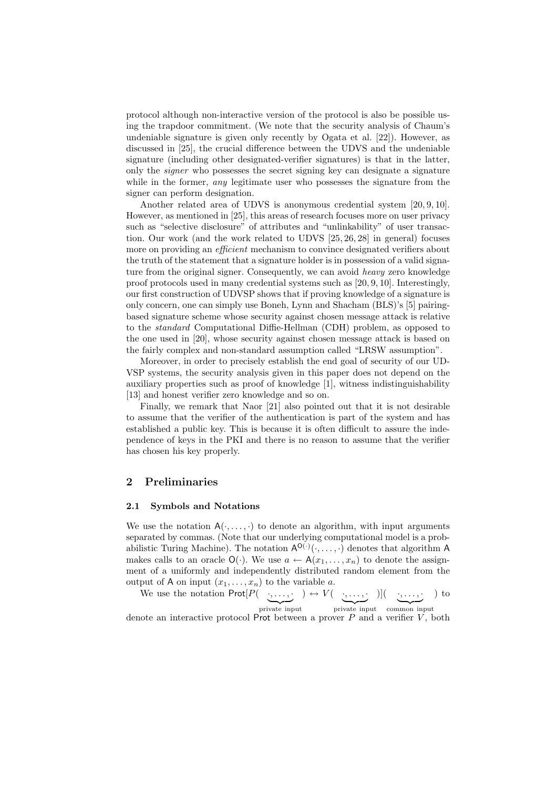protocol although non-interactive version of the protocol is also be possible using the trapdoor commitment. (We note that the security analysis of Chaum's undeniable signature is given only recently by Ogata et al. [22]). However, as discussed in [25], the crucial difference between the UDVS and the undeniable signature (including other designated-verifier signatures) is that in the latter, only the signer who possesses the secret signing key can designate a signature while in the former, *any* legitimate user who possesses the signature from the signer can perform designation.

Another related area of UDVS is anonymous credential system [20, 9, 10]. However, as mentioned in [25], this areas of research focuses more on user privacy such as "selective disclosure" of attributes and "unlinkability" of user transaction. Our work (and the work related to UDVS [25, 26, 28] in general) focuses more on providing an *efficient* mechanism to convince designated verifiers about the truth of the statement that a signature holder is in possession of a valid signature from the original signer. Consequently, we can avoid *heavy* zero knowledge proof protocols used in many credential systems such as [20, 9, 10]. Interestingly, our first construction of UDVSP shows that if proving knowledge of a signature is only concern, one can simply use Boneh, Lynn and Shacham (BLS)'s [5] pairingbased signature scheme whose security against chosen message attack is relative to the standard Computational Diffie-Hellman (CDH) problem, as opposed to the one used in [20], whose security against chosen message attack is based on the fairly complex and non-standard assumption called "LRSW assumption".

Moreover, in order to precisely establish the end goal of security of our UD-VSP systems, the security analysis given in this paper does not depend on the auxiliary properties such as proof of knowledge [1], witness indistinguishability [13] and honest verifier zero knowledge and so on.

Finally, we remark that Naor [21] also pointed out that it is not desirable to assume that the verifier of the authentication is part of the system and has established a public key. This is because it is often difficult to assure the independence of keys in the PKI and there is no reason to assume that the verifier has chosen his key properly.

#### 2 Preliminaries

#### 2.1 Symbols and Notations

We use the notation  $A(\cdot, \ldots, \cdot)$  to denote an algorithm, with input arguments separated by commas. (Note that our underlying computational model is a probabilistic Turing Machine). The notation  $A^{O(·)}(\cdot, \ldots, \cdot)$  denotes that algorithm A makes calls to an oracle  $\mathsf{O}(\cdot)$ . We use  $a \leftarrow \mathsf{A}(x_1, \ldots, x_n)$  to denote the assignment of a uniformly and independently distributed random element from the output of A on input  $(x_1, \ldots, x_n)$  to the variable a.

We use the notation  $\mathsf{Prot}[P(\_\cdot,\ldots,\cdot)]$ private input  $) \leftrightarrow V( \underbrace{\cdot, \ldots, \cdot}_{\sim}$ private input )]( ·, . . . , · | {z } common input ) to denote an interactive protocol Prot between a prover  $P$  and a verifier  $V$ , both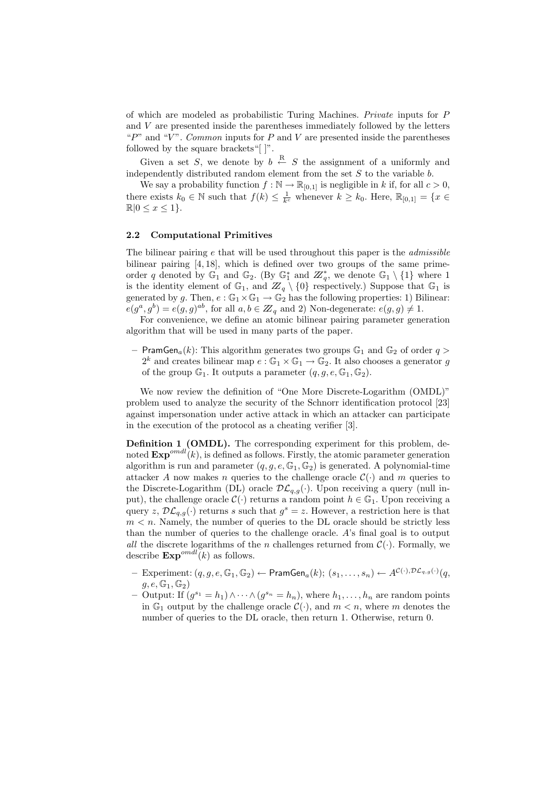of which are modeled as probabilistic Turing Machines. Private inputs for P and V are presented inside the parentheses immediately followed by the letters " $P$ " and " $V$ ". Common inputs for P and V are presented inside the parentheses followed by the square brackets"[ $\vert$ ".

Given a set S, we denote by  $b \leftarrow S$  the assignment of a uniformly and independently distributed random element from the set  $S$  to the variable  $b$ .

We say a probability function  $f : \mathbb{N} \to \mathbb{R}_{[0,1]}$  is negligible in k if, for all  $c > 0$ , there exists  $k_0 \in \mathbb{N}$  such that  $f(k) \leq \frac{1}{k^c}$  whenever  $k \geq k_0$ . Here,  $\mathbb{R}_{[0,1]} = \{x \in$  $\mathbb{R}|0 \leq x \leq 1$ .

#### 2.2 Computational Primitives

The bilinear pairing  $e$  that will be used throughout this paper is the *admissible* bilinear pairing [4, 18], which is defined over two groups of the same primeorder q denoted by  $\mathbb{G}_1$  and  $\mathbb{G}_2$ . (By  $\mathbb{G}_1^*$  and  $\mathbb{Z}_q^*$ , we denote  $\mathbb{G}_1 \setminus \{1\}$  where 1 is the identity element of  $\mathbb{G}_1$ , and  $\mathbb{Z}_q \setminus \{0\}$  respectively.) Suppose that  $\mathbb{G}_1$  is generated by g. Then,  $e : \mathbb{G}_1 \times \mathbb{G}_1 \to \mathbb{G}_2$  has the following properties: 1) Bilinear:  $e(g^a, g^b) = e(g, g)^{ab}$ , for all  $a, b \in \mathbb{Z}_q$  and 2) Non-degenerate:  $e(g, g) \neq 1$ .

For convenience, we define an atomic bilinear pairing parameter generation algorithm that will be used in many parts of the paper.

– PramGen<sub>a</sub> $(k)$ : This algorithm generates two groups  $\mathbb{G}_1$  and  $\mathbb{G}_2$  of order  $q >$  $2^k$  and creates bilinear map  $e : \mathbb{G}_1 \times \mathbb{G}_1 \to \mathbb{G}_2$ . It also chooses a generator g of the group  $\mathbb{G}_1$ . It outputs a parameter  $(q, g, e, \mathbb{G}_1, \mathbb{G}_2)$ .

We now review the definition of "One More Discrete-Logarithm (OMDL)" problem used to analyze the security of the Schnorr identification protocol [23] against impersonation under active attack in which an attacker can participate in the execution of the protocol as a cheating verifier [3].

Definition 1 (OMDL). The corresponding experiment for this problem, denoted  $\text{Exp}^{omdl}(k)$ , is defined as follows. Firstly, the atomic parameter generation algorithm is run and parameter  $(q, g, e, \mathbb{G}_1, \mathbb{G}_2)$  is generated. A polynomial-time attacker A now makes n queries to the challenge oracle  $\mathcal{C}(\cdot)$  and m queries to the Discrete-Logarithm (DL) oracle  $\mathcal{DL}_{q,q}(\cdot)$ . Upon receiving a query (null input), the challenge oracle  $\mathcal{C}(\cdot)$  returns a random point  $h \in \mathbb{G}_1$ . Upon receiving a query z,  $\mathcal{DL}_{q,q}(\cdot)$  returns s such that  $g^s = z$ . However, a restriction here is that  $m < n$ . Namely, the number of queries to the DL oracle should be strictly less than the number of queries to the challenge oracle. A's final goal is to output all the discrete logarithms of the n challenges returned from  $\mathcal{C}(\cdot)$ . Formally, we describe  $\text{Exp}^{omdl}(k)$  as follows.

- $\text{Experiment: } (q,g,e,\mathbb{G}_1,\mathbb{G}_2)\leftarrow \textsf{PramGen}_a(k); \ (s_1,\ldots,s_n)\leftarrow A^{\mathcal{C}(\cdot), \mathcal{DL}_{q,g}(\cdot)}(q,$  $g, e, \mathbb{G}_1, \mathbb{G}_2$
- Output: If  $(g^{s_1} = h_1) \wedge \cdots \wedge (g^{s_n} = h_n)$ , where  $h_1, \ldots, h_n$  are random points in  $\mathbb{G}_1$  output by the challenge oracle  $\mathcal{C}(\cdot)$ , and  $m < n$ , where m denotes the number of queries to the DL oracle, then return 1. Otherwise, return 0.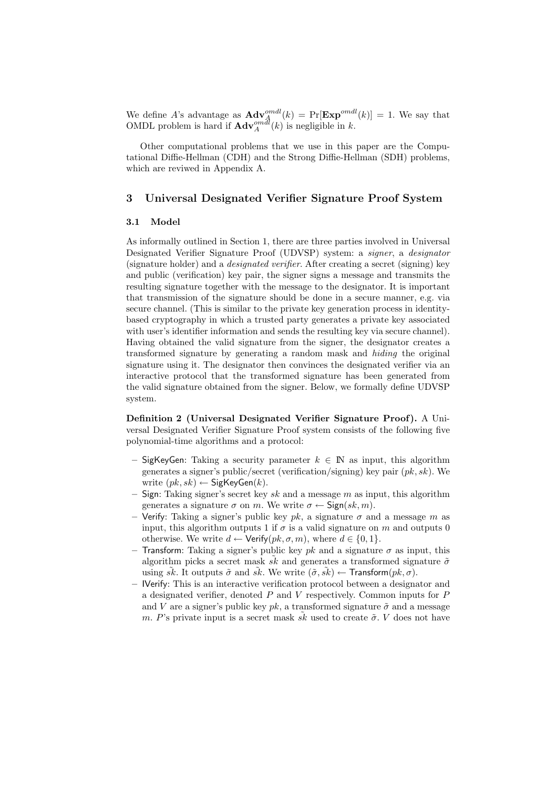We define A's advantage as  $\mathbf{Adv}_{\mathcal{A}}^{omdl}(k) = \Pr[\mathbf{Exp}^{omdl}(k)] = 1$ . We say that OMDL problem is hard if  $\mathbf{Adv}_{A}^{om\hat{d}l}(k)$  is negligible in k.

Other computational problems that we use in this paper are the Computational Diffie-Hellman (CDH) and the Strong Diffie-Hellman (SDH) problems, which are reviwed in Appendix A.

## 3 Universal Designated Verifier Signature Proof System

### 3.1 Model

As informally outlined in Section 1, there are three parties involved in Universal Designated Verifier Signature Proof (UDVSP) system: a signer, a designator (signature holder) and a designated verifier. After creating a secret (signing) key and public (verification) key pair, the signer signs a message and transmits the resulting signature together with the message to the designator. It is important that transmission of the signature should be done in a secure manner, e.g. via secure channel. (This is similar to the private key generation process in identitybased cryptography in which a trusted party generates a private key associated with user's identifier information and sends the resulting key via secure channel). Having obtained the valid signature from the signer, the designator creates a transformed signature by generating a random mask and hiding the original signature using it. The designator then convinces the designated verifier via an interactive protocol that the transformed signature has been generated from the valid signature obtained from the signer. Below, we formally define UDVSP system.

Definition 2 (Universal Designated Verifier Signature Proof). A Universal Designated Verifier Signature Proof system consists of the following five polynomial-time algorithms and a protocol:

- SigKeyGen: Taking a security parameter  $k \in \mathbb{N}$  as input, this algorithm generates a signer's public/secret (verification/signing) key pair  $(pk, sk)$ . We write  $(pk, sk) \leftarrow$  SigKeyGen $(k)$ .
- Sign: Taking signer's secret key sk and a message m as input, this algorithm generates a signature  $\sigma$  on m. We write  $\sigma \leftarrow$  Sign $(sk, m)$ .
- Verify: Taking a signer's public key  $pk$ , a signature  $\sigma$  and a message m as input, this algorithm outputs 1 if  $\sigma$  is a valid signature on m and outputs 0 otherwise. We write  $d \leftarrow \mathsf{Verify}(pk, \sigma, m)$ , where  $d \in \{0, 1\}$ .
- Transform: Taking a signer's public key pk and a signature  $\sigma$  as input, this algorithm picks a secret mask  $\tilde{sk}$  and generates a transformed signature  $\tilde{\sigma}$ using sk. It outputs  $\tilde{\sigma}$  and sk. We write  $(\tilde{\sigma}, s\tilde{k}) \leftarrow$  Transform $(pk, \sigma)$ .
- IVerify: This is an interactive verification protocol between a designator and a designated verifier, denoted  $P$  and  $V$  respectively. Common inputs for  $P$ and V are a signer's public key  $pk$ , a transformed signature  $\tilde{\sigma}$  and a message m. P's private input is a secret mask  $\tilde{sk}$  used to create  $\tilde{\sigma}$ . V does not have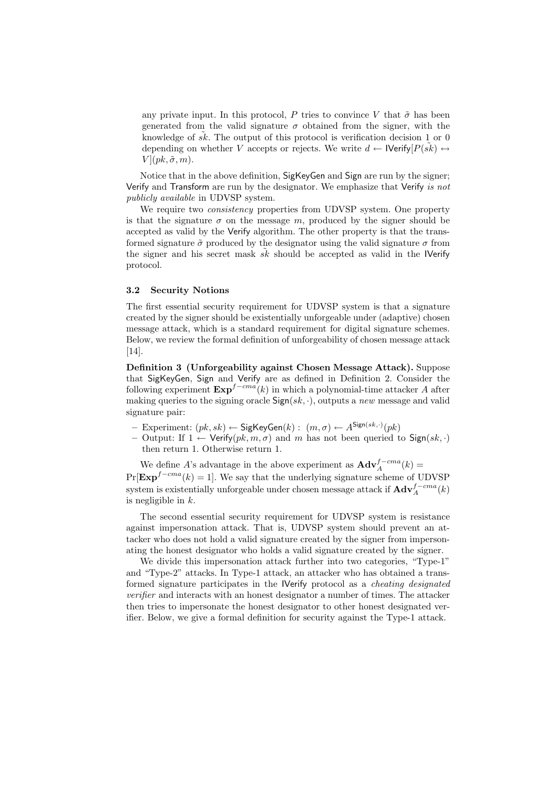any private input. In this protocol, P tries to convince V that  $\tilde{\sigma}$  has been generated from the valid signature  $\sigma$  obtained from the signer, with the knowledge of  $\tilde{s}\tilde{k}$ . The output of this protocol is verification decision 1 or 0 depending on whether V accepts or rejects. We write  $d \leftarrow \text{IVerify}[P(\tilde{s}\tilde{k}) \leftrightarrow$  $V$ ] $(pk, \tilde{\sigma}, m)$ .

Notice that in the above definition, SigKeyGen and Sign are run by the signer; Verify and Transform are run by the designator. We emphasize that Verify is not publicly available in UDVSP system.

We require two *consistency* properties from UDVSP system. One property is that the signature  $\sigma$  on the message m, produced by the signer should be accepted as valid by the Verify algorithm. The other property is that the transformed signature  $\tilde{\sigma}$  produced by the designator using the valid signature  $\sigma$  from the signer and his secret mask  $sk$  should be accepted as valid in the IVerify protocol.

#### 3.2 Security Notions

The first essential security requirement for UDVSP system is that a signature created by the signer should be existentially unforgeable under (adaptive) chosen message attack, which is a standard requirement for digital signature schemes. Below, we review the formal definition of unforgeability of chosen message attack [14].

Definition 3 (Unforgeability against Chosen Message Attack). Suppose that SigKeyGen, Sign and Verify are as defined in Definition 2. Consider the following experiment  $\text{Exp}^{f-cma}(k)$  in which a polynomial-time attacker A after making queries to the signing oracle  $Sign(sk, \cdot)$ , outputs a new message and valid signature pair:

 $-$  Experiment:  $(pk, sk) \leftarrow$  SigKeyGen $(k)$ :  $(m, \sigma) \leftarrow A^{\text{Sign}(sk, \cdot)}(pk)$ 

– Output: If  $1 \leftarrow$  Verify $(pk, m, \sigma)$  and m has not been queried to Sign(sk, ·) then return 1. Otherwise return 1.

We define A's advantage in the above experiment as  $\mathbf{Adv}_{A}^{f-cma}(k)$  =  $Pr[\text{Exp}^{f-cma}(k) = 1]$ . We say that the underlying signature scheme of UDVSP system is existentially unforgeable under chosen message attack if  $\mathbf{Adv}_{A}^{f-cma}(k)$ is negligible in  $k$ .

The second essential security requirement for UDVSP system is resistance against impersonation attack. That is, UDVSP system should prevent an attacker who does not hold a valid signature created by the signer from impersonating the honest designator who holds a valid signature created by the signer.

We divide this impersonation attack further into two categories, "Type-1" and "Type-2" attacks. In Type-1 attack, an attacker who has obtained a transformed signature participates in the IVerify protocol as a cheating designated verifier and interacts with an honest designator a number of times. The attacker then tries to impersonate the honest designator to other honest designated verifier. Below, we give a formal definition for security against the Type-1 attack.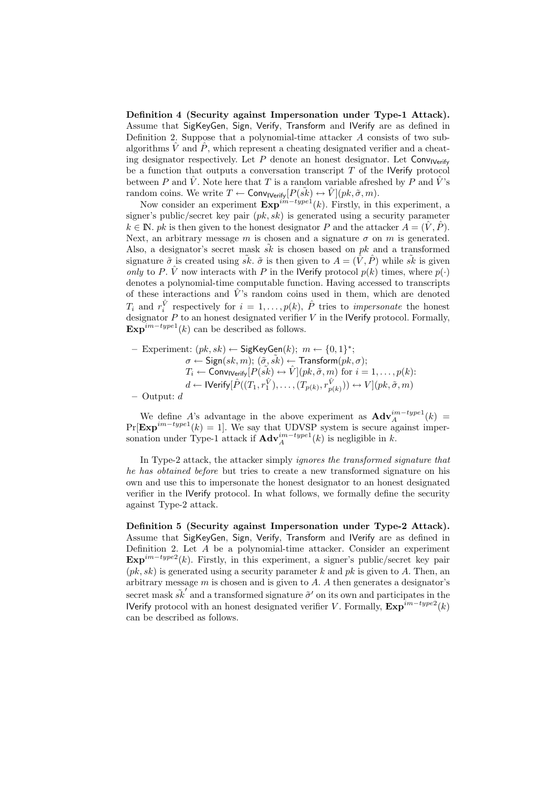Definition 4 (Security against Impersonation under Type-1 Attack). Assume that SigKeyGen, Sign, Verify, Transform and IVerify are as defined in Definition 2. Suppose that a polynomial-time attacker A consists of two subalgorithms  $\hat{V}$  and  $\hat{P}$ , which represent a cheating designated verifier and a cheating designator respectively. Let P denote an honest designator. Let  $\text{Conv}_\text{Nerify}$ be a function that outputs a conversation transcript  $T$  of the IVerify protocol between P and  $\hat{V}$ . Note here that T is a random variable afreshed by P and  $\hat{V}$ 's random coins. We write  $T \leftarrow \textsf{Conv}_{\textsf{IVerify}}[P(\tilde{s}\tilde{k}) \leftrightarrow \hat{V}](pk, \tilde{\sigma}, m)$ .

Now consider an experiment  $\mathbf{Exp}^{im-type1}(k)$ . Firstly, in this experiment, a signer's public/secret key pair  $(pk, sk)$  is generated using a security parameter  $k \in \mathbb{N}$ . pk is then given to the honest designator P and the attacker  $A = (\hat{V}, \hat{P})$ . Next, an arbitrary message m is chosen and a signature  $\sigma$  on m is generated. Also, a designator's secret mask  $sk$  is chosen based on  $pk$  and a transformed signature  $\tilde{\sigma}$  is created using  $\tilde{s}k$ .  $\tilde{\sigma}$  is then given to  $A = (\hat{V}, \hat{P})$  while  $\tilde{s}k$  is given only to P.  $\hat{V}$  now interacts with P in the IVerify protocol  $p(k)$  times, where  $p(\cdot)$ denotes a polynomial-time computable function. Having accessed to transcripts of these interactions and  $\hat{V}$ 's random coins used in them, which are denoted  $T_i$  and  $r_i^{\hat{V}}$  respectively for  $i = 1, \ldots, p(k)$ ,  $\hat{P}$  tries to *impersonate* the honest designator  $P$  to an honest designated verifier  $V$  in the IVerify protocol. Formally,  $\mathbf{Exp}^{im-type1}(k)$  can be described as follows.

- Experiment: 
$$
(pk, sk) \leftarrow
$$
 SigKeyGen(k);  $m \leftarrow \{0, 1\}^*$ ;  
\n $\sigma \leftarrow$ Sign( $sk, m$ );  $(\tilde{\sigma}, \tilde{sk}) \leftarrow$ Transform( $pk, \sigma$ );  
\n $T_i \leftarrow$ Conv<sub>Werify</sub>[ $P(\tilde{sk}) \leftrightarrow \hat{V}$ ]( $pk, \tilde{\sigma}, m$ ) for  $i = 1, ..., p(k)$ :  
\n $d \leftarrow$ IVerify[ $\hat{P}((T_1, r_1^{\hat{V}}), ..., (T_{p(k)}, r_{p(k)}^{\hat{V}})) \leftrightarrow V$ ]( $pk, \tilde{\sigma}, m$ )

– Output: d

We define A's advantage in the above experiment as  $\mathbf{Adv}_{A}^{im-type1}(k)$  =  $Pr[\text{Exp}^{im-type1}(k) = 1]$ . We say that UDVSP system is secure against impersonation under Type-1 attack if  $\mathbf{Adv}_{A}^{im-type1}(k)$  is negligible in k.

In Type-2 attack, the attacker simply ignores the transformed signature that he has obtained before but tries to create a new transformed signature on his own and use this to impersonate the honest designator to an honest designated verifier in the IVerify protocol. In what follows, we formally define the security against Type-2 attack.

Definition 5 (Security against Impersonation under Type-2 Attack). Assume that SigKeyGen, Sign, Verify, Transform and IVerify are as defined in Definition 2. Let A be a polynomial-time attacker. Consider an experiment  $\text{Exp}^{im-type2}(k)$ . Firstly, in this experiment, a signer's public/secret key pair  $(pk, sk)$  is generated using a security parameter k and pk is given to A. Then, an arbitrary message  $m$  is chosen and is given to  $A$ . A then generates a designator's secret mask  $\tilde{sk}^{\prime}$  and a transformed signature  $\tilde{\sigma}^{\prime}$  on its own and participates in the **IVerify** protocol with an honest designated verifier V. Formally,  $\mathbf{Exp}^{im-type2}(k)$ can be described as follows.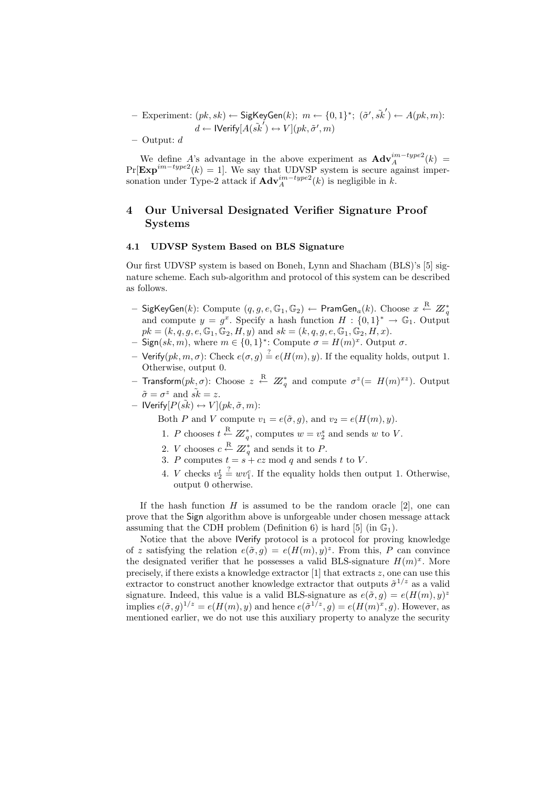- Experiment:  $(pk, sk) \leftarrow$  SigKeyGen $(k); m \leftarrow \{0, 1\}^*; (\tilde{\sigma}', \tilde{sk}') \leftarrow A(pk, m)$ :  $d \leftarrow$  IVerify $[A(\tilde{s}\vec{k}') \leftrightarrow V](pk, \tilde{\sigma}', m)$ 

– Output: d

We define A's advantage in the above experiment as  $\mathbf{Adv}_{A}^{im-type2}(k)$  =  $Pr[\text{Exp}^{im-type2}(k) = 1]$ . We say that UDVSP system is secure against impersonation under Type-2 attack if  $\mathbf{Adv}_{A}^{im-type2}(k)$  is negligible in k.

# 4 Our Universal Designated Verifier Signature Proof Systems

#### 4.1 UDVSP System Based on BLS Signature

Our first UDVSP system is based on Boneh, Lynn and Shacham (BLS)'s [5] signature scheme. Each sub-algorithm and protocol of this system can be described as follows.

- SigKeyGen(k): Compute  $(q, g, e, \mathbb{G}_1, \mathbb{G}_2)$  ← PramGen<sub>a</sub>(k). Choose  $x \stackrel{\text{R}}{\leftarrow} Z_q^*$  and compute  $y = g^x$ . Specify a hash function  $H : \{0, 1\}^* \rightarrow \mathbb{G}_1$ . Output  $pk = (k, q, g, e, \mathbb{G}_1, \mathbb{G}_2, H, y)$  and  $sk = (k, q, g, e, \mathbb{G}_1, \mathbb{G}_2, H, x)$ .
- $\mathsf{Sign}(sk,m)$ , where  $m \in \{0,1\}^*$ : Compute  $\sigma = H(m)^x$ . Output  $\sigma$ .
- $-$  Verify(pk, m,  $\sigma$ ): Check  $e(\sigma, g) \stackrel{?}{=} e(H(m), y)$ . If the equality holds, output 1. Otherwise, output 0.
- $-$  Transform $(pk, \sigma)$ : Choose  $z \stackrel{\text{R}}{\leftarrow} \mathbb{Z}^{*}_q$  and compute  $\sigma^z (= \ H(m)^{xz})$ . Output  $\tilde{\sigma} = \sigma^z$  and  $\tilde{sk} = z$ .
- $-$  IVerify $[P(\tilde{sk}) \leftrightarrow V](pk, \tilde{\sigma}, m)$ :

Both P and V compute  $v_1 = e(\tilde{\sigma}, g)$ , and  $v_2 = e(H(m), y)$ .

- 1. P chooses  $t \stackrel{\text{R}}{\leftarrow} Z_q^*$ , computes  $w = v_2^s$  and sends w to V.
- 2. *V* chooses  $c \stackrel{\text{R}}{\leftarrow} \mathbb{Z}_q^*$  and sends it to *P*.
- 3. P computes  $t = s + cz \mod q$  and sends t to V.
- 4. *V* checks  $v_2^t \stackrel{?}{=} w v_1^c$ . If the equality holds then output 1. Otherwise, output 0 otherwise.

If the hash function  $H$  is assumed to be the random oracle [2], one can prove that the Sign algorithm above is unforgeable under chosen message attack assuming that the CDH problem (Definition 6) is hard [5] (in  $\mathbb{G}_1$ ).

Notice that the above IVerify protocol is a protocol for proving knowledge of z satisfying the relation  $e(\tilde{\sigma}, g) = e(H(m), y)^z$ . From this, P can convince the designated verifier that he possesses a valid BLS-signature  $H(m)^x$ . More precisely, if there exists a knowledge extractor  $[1]$  that extracts  $z$ , one can use this extractor to construct another knowledge extractor that outputs  $\tilde{\sigma}^{1/z}$  as a valid signature. Indeed, this value is a valid BLS-signature as  $e(\tilde{\sigma}, g) = e(H(m), y)^z$ implies  $e(\tilde{\sigma}, g)^{1/z} = e(H(m), y)$  and hence  $e(\tilde{\sigma}^{1/z}, g) = e(H(m)^x, g)$ . However, as mentioned earlier, we do not use this auxiliary property to analyze the security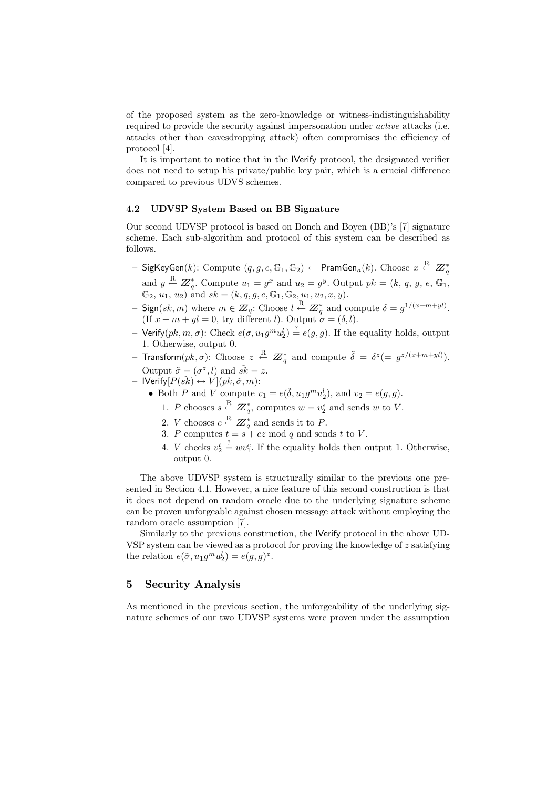of the proposed system as the zero-knowledge or witness-indistinguishability required to provide the security against impersonation under *active* attacks (i.e. attacks other than eavesdropping attack) often compromises the efficiency of protocol [4].

It is important to notice that in the IVerify protocol, the designated verifier does not need to setup his private/public key pair, which is a crucial difference compared to previous UDVS schemes.

#### 4.2 UDVSP System Based on BB Signature

Our second UDVSP protocol is based on Boneh and Boyen (BB)'s [7] signature scheme. Each sub-algorithm and protocol of this system can be described as follows.

- $-$  SigKeyGen $(k)$ :  $\text{Compute}~~(q,g,e,\mathbb{G}_1,\mathbb{G}_2)\leftarrow \textsf{PramGen}_a(k).$   $\text{Choose}~~x\stackrel{\text{R}}{\leftarrow}~Z\text{}_{q}^{*}$ and  $y \stackrel{\text{R}}{\leftarrow} Z_q^*$ . Compute  $u_1 = g^x$  and  $u_2 = g^y$ . Output  $pk = (k, q, g, e, \mathbb{G}_1,$  $\mathbb{G}_2$ ,  $u_1, u_2$ ) and  $sk = (k, q, g, e, \mathbb{G}_1, \mathbb{G}_2, u_1, u_2, x, y)$ .
- $-$  Sign(sk, m) where  $m \in \mathbb{Z}_q$ : Choose  $l \stackrel{R}{\leftarrow} \mathbb{Z}_q^*$  and compute  $\delta = g^{1/(x+m+yl)}$ . (If  $x + m + yl = 0$ , try different l). Output  $\sigma = (\delta, l)$ .
- Verify $(pk, m, \sigma)$ : Check  $e(\sigma, u_1 g^m u_2^l) \stackrel{?}{=} e(g, g)$ . If the equality holds, output 1. Otherwise, output 0.
- Transform $(pk, \sigma)$ : Choose  $z \stackrel{\text{R}}{\leftarrow} Z^*_q$  and compute  $\tilde{\delta} = \delta^z (= g^{z/(x+m+yl)})$ . Output  $\tilde{\sigma} = (\sigma^z, l)$  and  $\tilde{sk} = z$ .
- $-$  IVerify $[P(\tilde{sk}) \leftrightarrow V](pk, \tilde{\sigma}, m)$ :
	- Both P and V compute  $v_1 = e(\tilde{\delta}, u_1 g^m u_2^l)$ , and  $v_2 = e(g, g)$ .
	- 1. P chooses  $s \stackrel{\text{R}}{\leftarrow} \mathbb{Z}_q^*$ , computes  $w = v_2^s$  and sends w to V.
		- 2. *V* chooses  $c \stackrel{\text{R}}{\leftarrow} \mathbb{Z}_q^*$  and sends it to *P*.
		- 3. P computes  $t = s + cz \mod q$  and sends t to V.
		- 4. *V* checks  $v_2^t \stackrel{?}{=} w v_1^c$ . If the equality holds then output 1. Otherwise, output 0.

The above UDVSP system is structurally similar to the previous one presented in Section 4.1. However, a nice feature of this second construction is that it does not depend on random oracle due to the underlying signature scheme can be proven unforgeable against chosen message attack without employing the random oracle assumption [7].

Similarly to the previous construction, the IVerify protocol in the above UD-VSP system can be viewed as a protocol for proving the knowledge of z satisfying the relation  $e(\tilde{\sigma}, u_1 g^m u_2^l) = e(g, g)^z$ .

# 5 Security Analysis

As mentioned in the previous section, the unforgeability of the underlying signature schemes of our two UDVSP systems were proven under the assumption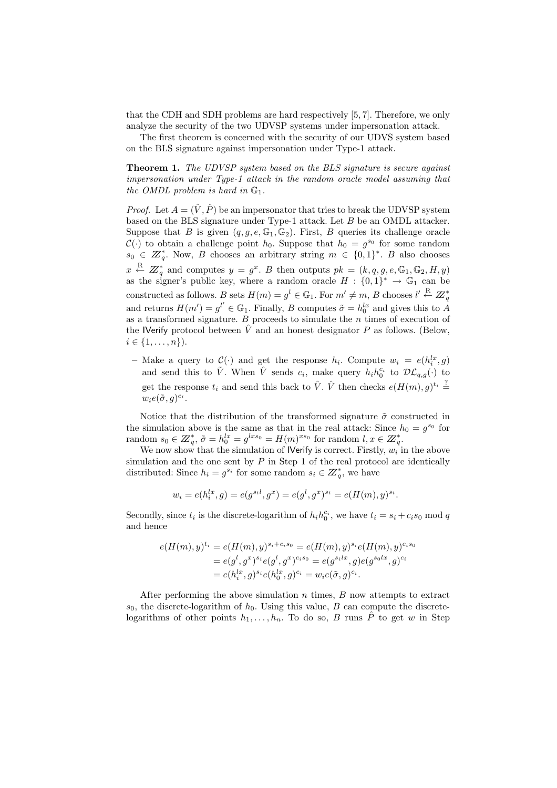that the CDH and SDH problems are hard respectively [5, 7]. Therefore, we only analyze the security of the two UDVSP systems under impersonation attack.

The first theorem is concerned with the security of our UDVS system based on the BLS signature against impersonation under Type-1 attack.

Theorem 1. The UDVSP system based on the BLS signature is secure against impersonation under Type-1 attack in the random oracle model assuming that the OMDL problem is hard in  $\mathbb{G}_1$ .

*Proof.* Let  $A = (\hat{V}, \hat{P})$  be an impersonator that tries to break the UDVSP system based on the BLS signature under Type-1 attack. Let B be an OMDL attacker. Suppose that B is given  $(q, g, e, \mathbb{G}_1, \mathbb{G}_2)$ . First, B queries its challenge oracle  $\mathcal{C}(\cdot)$  to obtain a challenge point  $h_0$ . Suppose that  $h_0 = g^{s_0}$  for some random  $s_0 \in \mathbb{Z}_q^*$ . Now, B chooses an arbitrary string  $m \in \{0,1\}^*$ . B also chooses  $x \stackrel{\text{R}}{\leftarrow} Z_q^*$  and computes  $y = g^x$ . B then outputs  $pk = (k, q, g, e, \mathbb{G}_1, \mathbb{G}_2, H, y)$ as the signer's public key, where a random oracle  $H: \{0,1\}^* \to \mathbb{G}_1$  can be constructed as follows. B sets  $H(m) = g^l \in \mathbb{G}_1$ . For  $m' \neq m$ , B chooses  $l' \stackrel{\text{R}}{\leftarrow} \mathbb{Z}_q^*$ and returns  $H(m') = g^{l'} \in \mathbb{G}_1$ . Finally, B computes  $\tilde{\sigma} = h_0^{lx}$  and gives this to A as a transformed signature.  $B$  proceeds to simulate the  $n$  times of execution of the IVerify protocol between  $\hat{V}$  and an honest designator P as follows. (Below,  $i \in \{1, \ldots, n\}$ .

- Make a query to  $\mathcal{C}(\cdot)$  and get the response  $h_i$ . Compute  $w_i = e(h_i^{lx}, g)$ and send this to  $\tilde{V}$ . When  $\hat{V}$  sends  $c_i$ , make query  $h_i h_0^{c_i}$  to  $\mathcal{DL}_{q,q}(\cdot)$  to get the response  $t_i$  and send this back to  $\hat{V}$ .  $\hat{V}$  then checks  $e(H(m), g)^{t_i} \stackrel{?}{=}$  $w_i e(\tilde{\sigma}, g)^{c_i}.$ 

Notice that the distribution of the transformed signature  $\tilde{\sigma}$  constructed in the simulation above is the same as that in the real attack: Since  $h_0 = g^{s_0}$  for random  $s_0 \in \mathbb{Z}_q^*$ ,  $\tilde{\sigma} = h_0^{lx} = g^{lxs_0} = H(m)^{xs_0}$  for random  $l, x \in \mathbb{Z}_q^*$ .

We now show that the simulation of IVerify is correct. Firstly,  $w_i$  in the above simulation and the one sent by  $P$  in Step 1 of the real protocol are identically distributed: Since  $h_i = g^{s_i}$  for some random  $s_i \in \mathbb{Z}_q^*$ , we have

$$
w_i = e(h_i^{lx}, g) = e(g^{s_i l}, g^x) = e(g^l, g^x)^{s_i} = e(H(m), y)^{s_i}.
$$

Secondly, since  $t_i$  is the discrete-logarithm of  $h_i h_0^{c_i}$ , we have  $t_i = s_i + c_i s_0 \mod q$ and hence

$$
e(H(m), y)^{t_i} = e(H(m), y)^{s_i + c_i s_0} = e(H(m), y)^{s_i} e(H(m), y)^{c_i s_0}
$$
  
=  $e(g^l, g^x)^{s_i} e(g^l, g^x)^{c_i s_0} = e(g^{s_i l x}, g) e(g^{s_0 l x}, g)^{c_i}$   
=  $e(h_i^{l x}, g)^{s_i} e(h_0^{l x}, g)^{c_i} = w_i e(\tilde{\sigma}, g)^{c_i}$ .

After performing the above simulation  $n$  times,  $B$  now attempts to extract  $s_0$ , the discrete-logarithm of  $h_0$ . Using this value, B can compute the discretelogarithms of other points  $h_1, \ldots, h_n$ . To do so, B runs  $\hat{P}$  to get w in Step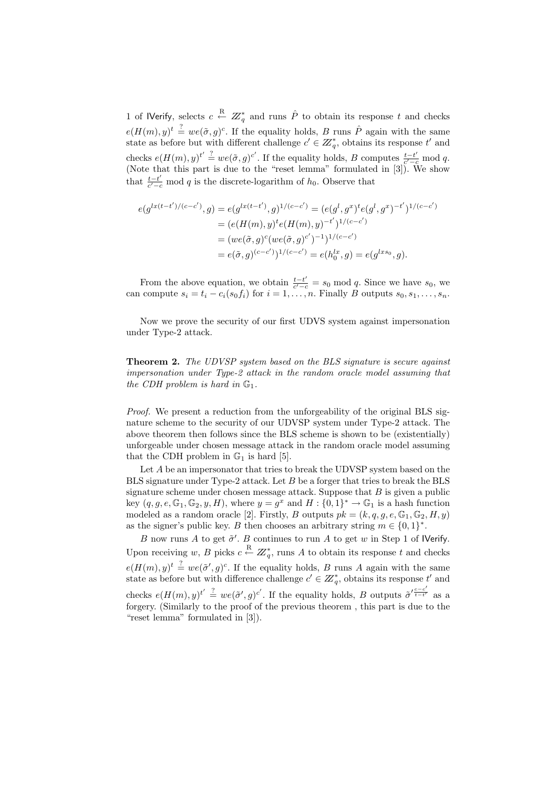1 of IVerify, selects  $c \stackrel{\text{R}}{\leftarrow} Z^*_q$  and runs  $\hat{P}$  to obtain its response t and checks  $e(H(m), y)^t \stackrel{?}{=} we(\tilde{\sigma}, g)^c$ . If the equality holds, B runs  $\hat{P}$  again with the same state as before but with different challenge  $c' \in \mathbb{Z}_q^*$ , obtains its response t' and checks  $e(H(m), y)^{t'} \stackrel{?}{=} we(\tilde{\sigma}, g)^{c'}$ . If the equality holds, B computes  $\frac{t-t'}{c'-c'}$  $\frac{t-t'}{c'-c} \mod q.$ (Note that this part is due to the "reset lemma" formulated in [3]). We show that  $\frac{t-t'}{c'-t}$  $\frac{t-t'}{c'-c}$  mod q is the discrete-logarithm of  $h_0$ . Observe that

$$
e(g^{lx(t-t')/(c-c')}, g) = e(g^{lx(t-t')}, g)^{1/(c-c')} = (e(g^l, g^x)^t e(g^l, g^x)^{-t'})^{1/(c-c')}
$$
  
= 
$$
(e(H(m), y)^t e(H(m), y)^{-t'})^{1/(c-c')}
$$
  
= 
$$
(we(\tilde{\sigma}, g)^c (we(\tilde{\sigma}, g)^{c'})^{-1})^{1/(c-c')}
$$
  
= 
$$
e(\tilde{\sigma}, g)^{(c-c')})^{1/(c-c')} = e(h_0^{lx}, g) = e(g^{lxs_0}, g).
$$

From the above equation, we obtain  $\frac{t-t'}{a'-t}$  $\frac{t-t'}{c'-c} = s_0 \mod q$ . Since we have  $s_0$ , we can compute  $s_i = t_i - c_i(s_0 f_i)$  for  $i = 1, ..., n$ . Finally B outputs  $s_0, s_1, ..., s_n$ .

Now we prove the security of our first UDVS system against impersonation under Type-2 attack.

Theorem 2. The UDVSP system based on the BLS signature is secure against impersonation under Type-2 attack in the random oracle model assuming that the CDH problem is hard in  $\mathbb{G}_1$ .

Proof. We present a reduction from the unforgeability of the original BLS signature scheme to the security of our UDVSP system under Type-2 attack. The above theorem then follows since the BLS scheme is shown to be (existentially) unforgeable under chosen message attack in the random oracle model assuming that the CDH problem in  $\mathbb{G}_1$  is hard [5].

Let A be an impersonator that tries to break the UDVSP system based on the BLS signature under Type-2 attack. Let B be a forger that tries to break the BLS signature scheme under chosen message attack. Suppose that  $B$  is given a public key  $(q, g, e, \mathbb{G}_1, \mathbb{G}_2, y, H)$ , where  $y = g^x$  and  $H: \{0, 1\}^* \to \mathbb{G}_1$  is a hash function modeled as a random oracle [2]. Firstly, B outputs  $pk = (k, q, g, e, \mathbb{G}_1, \mathbb{G}_2, H, y)$ as the signer's public key. B then chooses an arbitrary string  $m \in \{0,1\}^*$ .

B now runs A to get  $\tilde{\sigma}'$ . B continues to run A to get w in Step 1 of IVerify. Upon receiving w, B picks  $c \stackrel{\text{R}}{\leftarrow} \mathbb{Z}_q^*$ , runs A to obtain its response t and checks  $e(H(m), y)^t \stackrel{?}{=} we(\tilde{\sigma}', g)^c$ . If the equality holds, B runs A again with the same state as before but with difference challenge  $c' \in \mathbb{Z}_q^*$ , obtains its response t' and checks  $e(H(m), y)^{t'} \stackrel{?}{=} we(\tilde{\sigma}', g)^{c'}$ . If the equality holds, B outputs  $\tilde{\sigma}'_{t-t'}^{e-c'}$  $\frac{1}{t-t}$  as a forgery. (Similarly to the proof of the previous theorem , this part is due to the "reset lemma" formulated in [3]).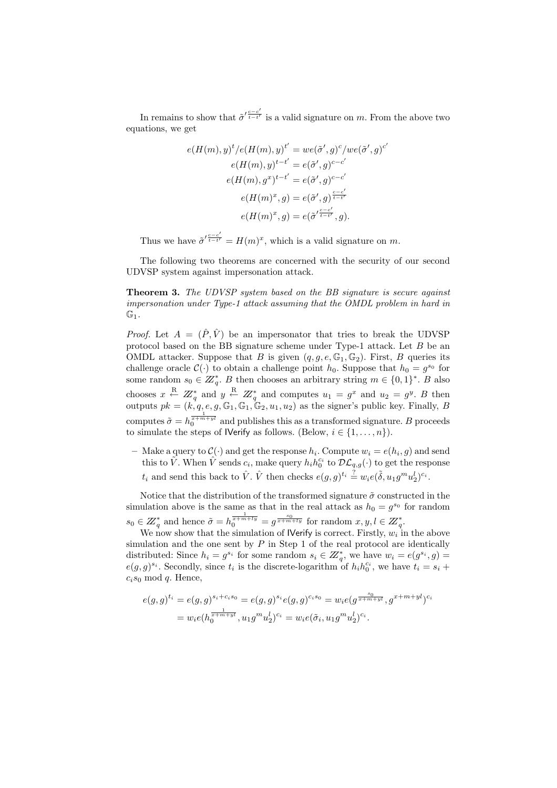In remains to show that  $\tilde{\sigma}'^{\frac{c-c'}{t-t'}}$  $\frac{t-t'}{t-t'}$  is a valid signature on m. From the above two equations, we get

$$
e(H(m), y)^{t}/e(H(m), y)^{t'} = we(\tilde{\sigma}', g)^{c}/we(\tilde{\sigma}', g)^{c'}
$$

$$
e(H(m), y)^{t-t'} = e(\tilde{\sigma}', g)^{c-c'}
$$

$$
e(H(m), g^{x})^{t-t'} = e(\tilde{\sigma}', g)^{c-c'}
$$

$$
e(H(m)^{x}, g) = e(\tilde{\sigma}', g)^{\frac{c-c'}{t-t'}}
$$

$$
e(H(m)^{x}, g) = e(\tilde{\sigma}'^{\frac{c-c'}{t-t'}}, g).
$$

Thus we have  $\tilde{\sigma}'^{\frac{c-c'}{t-t'}}$  $\frac{c-c}{t-t'} = H(m)^x$ , which is a valid signature on m.

The following two theorems are concerned with the security of our second UDVSP system against impersonation attack.

Theorem 3. The UDVSP system based on the BB signature is secure against impersonation under Type-1 attack assuming that the OMDL problem in hard in  $\mathbb{G}_1$ .

*Proof.* Let  $A = (\hat{P}, \hat{V})$  be an impersonator that tries to break the UDVSP protocol based on the BB signature scheme under Type-1 attack. Let  $B$  be an OMDL attacker. Suppose that B is given  $(q, q, e, \mathbb{G}_1, \mathbb{G}_2)$ . First, B queries its challenge oracle  $C(\cdot)$  to obtain a challenge point  $h_0$ . Suppose that  $h_0 = g^{s_0}$  for some random  $s_0 \in \mathbb{Z}_q^*$ . B then chooses an arbitrary string  $m \in \{0,1\}^*$ . B also chooses  $x \stackrel{\text{R}}{\leftarrow} Z_q^*$  and  $y \stackrel{\text{R}}{\leftarrow} Z_q^*$  and computes  $u_1 = g^x$  and  $u_2 = g^y$ . B then outputs  $pk = (k, q, e, g, \mathbb{G}_1, \mathbb{G}_1, \mathbb{G}_2, u_1, u_2)$  as the signer's public key. Finally, B computes  $\tilde{\sigma} = h_0^{\pi + m + y}$  and publishes this as a transformed signature. B proceeds to simulate the steps of **Nerify** as follows. (Below,  $i \in \{1, \ldots, n\}$ ).

- Make a query to  $\mathcal{C}(\cdot)$  and get the response  $h_i$ . Compute  $w_i = e(h_i, g)$  and send this to  $\tilde{V}$ . When  $\hat{V}$  sends  $c_i$ , make query  $h_i h_0^{c_i}$  to  $\mathcal{DL}_{q,g}(\cdot)$  to get the response  $t_i$  and send this back to  $\hat{V}$ .  $\hat{V}$  then checks  $e(g, g)^{t_i} \stackrel{?}{=} w_i e(\tilde{\delta}, u_1 g^m u_2^l)^{c_i}$ .

Notice that the distribution of the transformed signature  $\tilde{\sigma}$  constructed in the simulation above is the same as that in the real attack as  $h_0 = g^{s_0}$  for random  $s_0 \in \mathbb{Z}_q^*$  and hence  $\tilde{\sigma} = h_0^{\frac{1}{x+m+ly}} = g^{\frac{s_0}{x+m+ly}}$  for random  $x, y, l \in \mathbb{Z}_q^*$ .

We now show that the simulation of IVerify is correct. Firstly,  $w_i$  in the above simulation and the one sent by  $P$  in Step 1 of the real protocol are identically distributed: Since  $h_i = g^{s_i}$  for some random  $s_i \in \mathbb{Z}_q^*$ , we have  $w_i = e(g^{s_i}, g)$  $e(g,g)^{s_i}$ . Secondly, since  $t_i$  is the discrete-logarithm of  $h_i h_0^{c_i}$ , we have  $t_i = s_i +$  $c_i s_0 \mod q$ . Hence,

$$
e(g,g)^{t_i} = e(g,g)^{s_i + c_i s_0} = e(g,g)^{s_i} e(g,g)^{c_i s_0} = w_i e(g^{\frac{s_0}{x + m + yl}}, g^{x + m + yl})^{c_i}
$$
  
= 
$$
w_i e(h_0^{\frac{1}{x + m + yl}}, u_1 g^m u_2^l)^{c_i} = w_i e(\tilde{\sigma}_i, u_1 g^m u_2^l)^{c_i}.
$$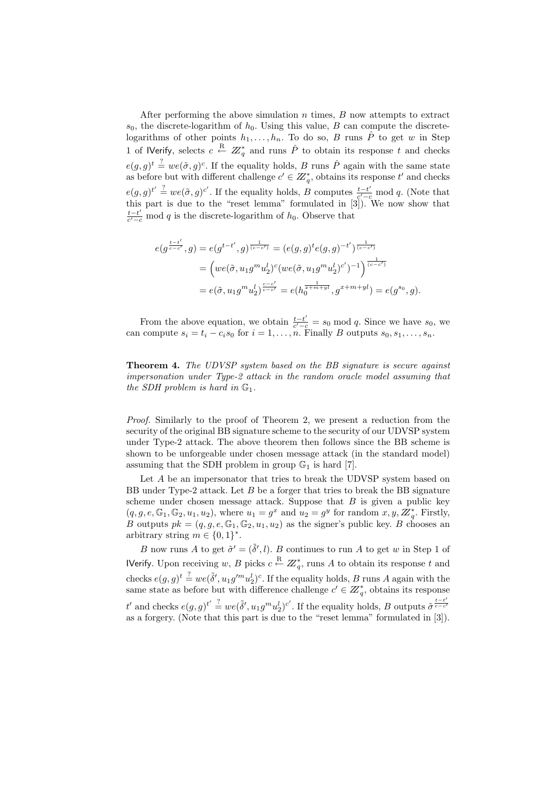After performing the above simulation  $n$  times,  $B$  now attempts to extract  $s_0$ , the discrete-logarithm of  $h_0$ . Using this value, B can compute the discretelogarithms of other points  $h_1, \ldots, h_n$ . To do so, B runs  $\hat{P}$  to get w in Step 1 of IVerify, selects  $c \stackrel{\text{R}}{\leftarrow} Z^*_q$  and runs  $\hat{P}$  to obtain its response t and checks  $e(g,g)^t \stackrel{?}{=} we(\tilde{\sigma},g)^c$ . If the equality holds, B runs  $\hat{P}$  again with the same state as before but with different challenge  $c' \in \mathbb{Z}_q^*$ , obtains its response t' and checks  $e(g,g)^{t'} \stackrel{?}{=} we(\tilde{\sigma},g)^{c'}$ . If the equality holds, B computes  $\frac{t-t'}{c'-c}$  $\frac{t-t'}{c'-c}$  mod q. (Note that this part is due to the "reset lemma" formulated in [3]). We now show that  $t-t'$  $\frac{t-t'}{c'-c}$  mod q is the discrete-logarithm of  $h_0$ . Observe that

$$
e(g^{\frac{t-t'}{c-c'}},g) = e(g^{t-t'},g)^{\frac{1}{(c-c')}} = (e(g,g)^t e(g,g)^{-t'})^{\frac{1}{(c-c')}} = \left( we(\tilde{\sigma}, u_1 g^m u_2^l)^c (we(\tilde{\sigma}, u_1 g^m u_2^l)^{c'})^{-1} \right)^{\frac{1}{(c-c')}} = e(\tilde{\sigma}, u_1 g^m u_2^l)^{\frac{c-c'}{c-c'}} = e(h_0^{\frac{1}{x+m+yl}}, g^{x+m+yl}) = e(g^{s_0}, g).
$$

From the above equation, we obtain  $\frac{t-t'}{c'-t}$  $\frac{t-t'}{c'-c} = s_0 \mod q$ . Since we have  $s_0$ , we can compute  $s_i = t_i - c_i s_0$  for  $i = 1, \ldots, n$ . Finally B outputs  $s_0, s_1, \ldots, s_n$ .

Theorem 4. The UDVSP system based on the BB signature is secure against impersonation under Type-2 attack in the random oracle model assuming that the SDH problem is hard in  $\mathbb{G}_1$ .

Proof. Similarly to the proof of Theorem 2, we present a reduction from the security of the original BB signature scheme to the security of our UDVSP system under Type-2 attack. The above theorem then follows since the BB scheme is shown to be unforgeable under chosen message attack (in the standard model) assuming that the SDH problem in group  $\mathbb{G}_1$  is hard [7].

Let A be an impersonator that tries to break the UDVSP system based on BB under Type-2 attack. Let  $B$  be a forger that tries to break the BB signature scheme under chosen message attack. Suppose that  $B$  is given a public key  $(q, g, e, \mathbb{G}_1, \mathbb{G}_2, u_1, u_2)$ , where  $u_1 = g^x$  and  $u_2 = g^y$  for random  $x, y, Z^*_q$ . Firstly, B outputs  $pk = (q, g, e, \mathbb{G}_1, \mathbb{G}_2, u_1, u_2)$  as the signer's public key. B chooses an arbitrary string  $m \in \{0, 1\}^*$ .

B now runs A to get  $\tilde{\sigma}' = (\tilde{\delta}', l)$ . B continues to run A to get w in Step 1 of **IVerify.** Upon receiving w, B picks  $c \stackrel{\text{R}}{\leftarrow} \mathbb{Z}_q^*$ , runs A to obtain its response t and checks  $e(g, g)$ <sup>t</sup>  $\stackrel{?}{=} we(\tilde{\delta}', u_1g'^mu_2^l)^c$ . If the equality holds, B runs A again with the same state as before but with difference challenge  $c' \in \mathbb{Z}_q^*$ , obtains its response t' and checks  $e(g, g)^{t'} \stackrel{?}{=} we(\tilde{\delta}', u_1g^mu_2^l)^{c'}$ . If the equality holds, B outputs  $\tilde{\sigma}^{\frac{t-t'}{c-c'}}$ as a forgery. (Note that this part is due to the "reset lemma" formulated in [3]).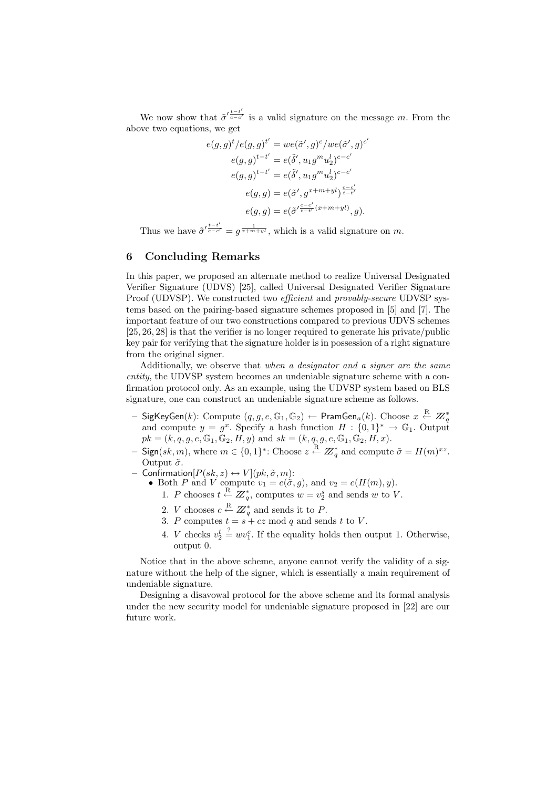We now show that  $\tilde{\sigma}'_{\overline{c-c'}}$  is a valid signature on the message m. From the above two equations, we get

$$
e(g,g)^t/e(g,g)^{t'} = we(\tilde{\sigma}',g)^c/we(\tilde{\sigma}',g)^{c'}
$$

$$
e(g,g)^{t-t'} = e(\tilde{\delta}',u_1g^mu_2^l)^{c-c'}
$$

$$
e(g,g)^{t-t'} = e(\tilde{\delta}',u_1g^mu_2^l)^{c-c'}
$$

$$
e(g,g) = e(\tilde{\sigma}',g^{x+m+yl})^{\frac{c-c'}{t-t'}}
$$

$$
e(g,g) = e(\tilde{\sigma}'^{t-c'}_{t-t'}(x+m+yl)},g).
$$

Thus we have  $\tilde{\sigma}'^{\frac{t-t'}{c-c'}} = g^{\frac{1}{x+m+yl}}$ , which is a valid signature on m.

## 6 Concluding Remarks

In this paper, we proposed an alternate method to realize Universal Designated Verifier Signature (UDVS) [25], called Universal Designated Verifier Signature Proof (UDVSP). We constructed two *efficient* and *provably-secure* UDVSP systems based on the pairing-based signature schemes proposed in [5] and [7]. The important feature of our two constructions compared to previous UDVS schemes [25, 26, 28] is that the verifier is no longer required to generate his private/public key pair for verifying that the signature holder is in possession of a right signature from the original signer.

Additionally, we observe that when a designator and a signer are the same entity, the UDVSP system becomes an undeniable signature scheme with a confirmation protocol only. As an example, using the UDVSP system based on BLS signature, one can construct an undeniable signature scheme as follows.

- $-$  SigKeyGen $(k)$ :  $\text{Compute}~~(q,g,e,\mathbb{G}_1,\mathbb{G}_2)\leftarrow \textsf{PramGen}_a(k).$   $\text{Choose}~~x\stackrel{\text{R}}{\leftarrow}~Z\text{}_{q}^{*}$ and compute  $y = g^x$ . Specify a hash function  $H: \{0,1\}^* \to \mathbb{G}_1$ . Output  $pk = (k, q, g, e, \mathbb{G}_1, \mathbb{G}_2, H, y)$  and  $sk = (k, q, g, e, \mathbb{G}_1, \mathbb{G}_2, H, x)$ .
- Sign(sk, m), where  $m \in \{0,1\}^*$ : Choose  $z \stackrel{\text{R}}{\leftarrow} Z_q^*$  and compute  $\tilde{\sigma} = H(m)^{xz}$ . Output  $\tilde{\sigma}$ .
- $-$  Confirmation $[P(sk, z) \leftrightarrow V](pk, \tilde{\sigma}, m)$ :
	- Both P and V compute  $v_1 = e(\tilde{\sigma}, g)$ , and  $v_2 = e(H(m), y)$ .
		- 1. P chooses  $t \stackrel{\text{R}}{\leftarrow} \mathbb{Z}_q^*$ , computes  $w = v_2^s$  and sends w to V.
		- 2. *V* chooses  $c \stackrel{\text{R}}{\leftarrow} \mathbb{Z}_q^*$  and sends it to *P*.
		- 3. P computes  $t = s + cz \mod q$  and sends t to V.
		- 4. *V* checks  $v_2^t \stackrel{?}{=} w v_1^c$ . If the equality holds then output 1. Otherwise, output 0.

Notice that in the above scheme, anyone cannot verify the validity of a signature without the help of the signer, which is essentially a main requirement of undeniable signature.

Designing a disavowal protocol for the above scheme and its formal analysis under the new security model for undeniable signature proposed in [22] are our future work.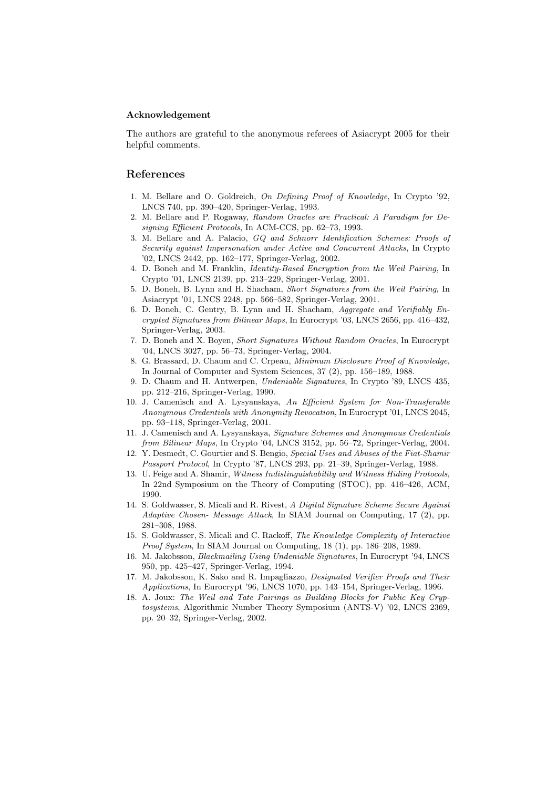#### Acknowledgement

The authors are grateful to the anonymous referees of Asiacrypt 2005 for their helpful comments.

# References

- 1. M. Bellare and O. Goldreich, On Defining Proof of Knowledge, In Crypto '92, LNCS 740, pp. 390–420, Springer-Verlag, 1993.
- 2. M. Bellare and P. Rogaway, Random Oracles are Practical: A Paradigm for Designing Efficient Protocols, In ACM-CCS, pp. 62–73, 1993.
- 3. M. Bellare and A. Palacio, GQ and Schnorr Identification Schemes: Proofs of Security against Impersonation under Active and Concurrent Attacks, In Crypto '02, LNCS 2442, pp. 162–177, Springer-Verlag, 2002.
- 4. D. Boneh and M. Franklin, Identity-Based Encryption from the Weil Pairing, In Crypto '01, LNCS 2139, pp. 213–229, Springer-Verlag, 2001.
- 5. D. Boneh, B. Lynn and H. Shacham, Short Signatures from the Weil Pairing, In Asiacrypt '01, LNCS 2248, pp. 566–582, Springer-Verlag, 2001.
- 6. D. Boneh, C. Gentry, B. Lynn and H. Shacham, Aggregate and Verifiably Encrypted Signatures from Bilinear Maps, In Eurocrypt '03, LNCS 2656, pp. 416–432, Springer-Verlag, 2003.
- 7. D. Boneh and X. Boyen, Short Signatures Without Random Oracles, In Eurocrypt '04, LNCS 3027, pp. 56–73, Springer-Verlag, 2004.
- 8. G. Brassard, D. Chaum and C. Crpeau, Minimum Disclosure Proof of Knowledge, In Journal of Computer and System Sciences, 37 (2), pp. 156–189, 1988.
- 9. D. Chaum and H. Antwerpen, Undeniable Signatures, In Crypto '89, LNCS 435, pp. 212–216, Springer-Verlag, 1990.
- 10. J. Camenisch and A. Lysyanskaya, An Efficient System for Non-Transferable Anonymous Credentials with Anonymity Revocation, In Eurocrypt '01, LNCS 2045, pp. 93–118, Springer-Verlag, 2001.
- 11. J. Camenisch and A. Lysyanskaya, Signature Schemes and Anonymous Credentials from Bilinear Maps, In Crypto '04, LNCS 3152, pp. 56–72, Springer-Verlag, 2004.
- 12. Y. Desmedt, C. Gourtier and S. Bengio, Special Uses and Abuses of the Fiat-Shamir Passport Protocol, In Crypto '87, LNCS 293, pp. 21–39, Springer-Verlag, 1988.
- 13. U. Feige and A. Shamir, Witness Indistinguishability and Witness Hiding Protocols, In 22nd Symposium on the Theory of Computing (STOC), pp. 416–426, ACM, 1990.
- 14. S. Goldwasser, S. Micali and R. Rivest, A Digital Signature Scheme Secure Against Adaptive Chosen- Message Attack, In SIAM Journal on Computing, 17  $(2)$ , pp. 281–308, 1988.
- 15. S. Goldwasser, S. Micali and C. Rackoff, The Knowledge Complexity of Interactive Proof System, In SIAM Journal on Computing, 18 (1), pp. 186–208, 1989.
- 16. M. Jakobsson, Blackmailing Using Undeniable Signatures, In Eurocrypt '94, LNCS 950, pp. 425–427, Springer-Verlag, 1994.
- 17. M. Jakobsson, K. Sako and R. Impagliazzo, Designated Verifier Proofs and Their Applications, In Eurocrypt '96, LNCS 1070, pp. 143–154, Springer-Verlag, 1996.
- 18. A. Joux: The Weil and Tate Pairings as Building Blocks for Public Key Cryptosystems, Algorithmic Number Theory Symposium (ANTS-V) '02, LNCS 2369, pp. 20–32, Springer-Verlag, 2002.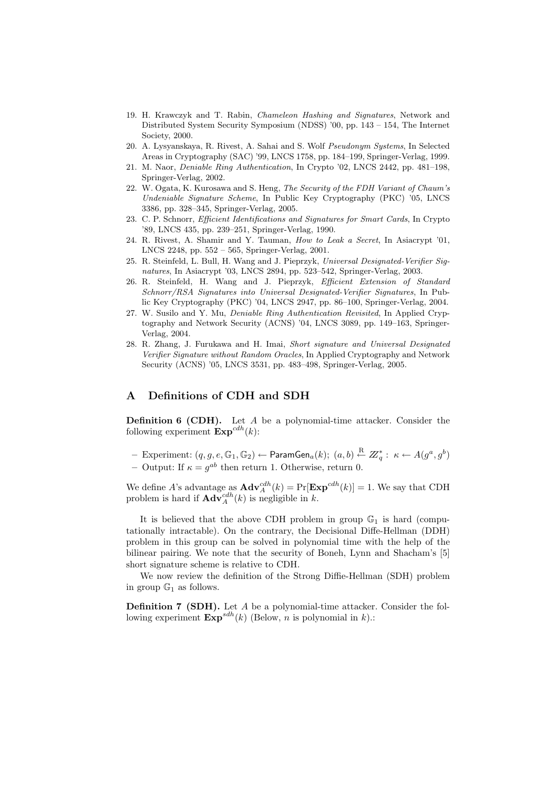- 19. H. Krawczyk and T. Rabin, Chameleon Hashing and Signatures, Network and Distributed System Security Symposium (NDSS) '00, pp. 143 – 154, The Internet Society, 2000.
- 20. A. Lysyanskaya, R. Rivest, A. Sahai and S. Wolf Pseudonym Systems, In Selected Areas in Cryptography (SAC) '99, LNCS 1758, pp. 184–199, Springer-Verlag, 1999.
- 21. M. Naor, Deniable Ring Authentication, In Crypto '02, LNCS 2442, pp. 481–198, Springer-Verlag, 2002.
- 22. W. Ogata, K. Kurosawa and S. Heng, The Security of the FDH Variant of Chaum's Undeniable Signature Scheme, In Public Key Cryptography (PKC) '05, LNCS 3386, pp. 328–345, Springer-Verlag, 2005.
- 23. C. P. Schnorr, Efficient Identifications and Signatures for Smart Cards, In Crypto '89, LNCS 435, pp. 239–251, Springer-Verlag, 1990.
- 24. R. Rivest, A. Shamir and Y. Tauman, *How to Leak a Secret*, In Asiacrypt '01, LNCS 2248, pp. 552 – 565, Springer-Verlag, 2001.
- 25. R. Steinfeld, L. Bull, H. Wang and J. Pieprzyk, Universal Designated-Verifier Signatures, In Asiacrypt '03, LNCS 2894, pp. 523–542, Springer-Verlag, 2003.
- 26. R. Steinfeld, H. Wang and J. Pieprzyk, Efficient Extension of Standard Schnorr/RSA Signatures into Universal Designated-Verifier Signatures, In Public Key Cryptography (PKC) '04, LNCS 2947, pp. 86–100, Springer-Verlag, 2004.
- 27. W. Susilo and Y. Mu, Deniable Ring Authentication Revisited, In Applied Cryptography and Network Security (ACNS) '04, LNCS 3089, pp. 149–163, Springer-Verlag, 2004.
- 28. R. Zhang, J. Furukawa and H. Imai, Short signature and Universal Designated Verifier Signature without Random Oracles, In Applied Cryptography and Network Security (ACNS) '05, LNCS 3531, pp. 483–498, Springer-Verlag, 2005.

# A Definitions of CDH and SDH

**Definition 6 (CDH).** Let  $A$  be a polynomial-time attacker. Consider the following experiment  $\text{Exp}^{cdh}(k)$ :

- $-$  Experiment:  $(q,g,e,\mathbb{G}_1,\mathbb{G}_2)\leftarrow \mathsf{ParamGen}_a(k);\ (a,b)\stackrel{\text{R}}{\leftarrow} Z^*_q:\ \kappa\leftarrow A(g^a,g^b)$
- Output: If  $\kappa = g^{ab}$  then return 1. Otherwise, return 0.

We define A's advantage as  $\mathbf{Adv}_{A}^{cdh}(k) = \Pr[\mathbf{Exp}^{cdh}(k)] = 1$ . We say that CDH problem is hard if  $\mathbf{Adv}_{A}^{cdh}(k)$  is negligible in k.

It is believed that the above CDH problem in group  $\mathbb{G}_1$  is hard (computationally intractable). On the contrary, the Decisional Diffe-Hellman (DDH) problem in this group can be solved in polynomial time with the help of the bilinear pairing. We note that the security of Boneh, Lynn and Shacham's [5] short signature scheme is relative to CDH.

We now review the definition of the Strong Diffie-Hellman (SDH) problem in group  $\mathbb{G}_1$  as follows.

Definition 7 (SDH). Let A be a polynomial-time attacker. Consider the following experiment  $\mathbf{Exp}^{sdh}(k)$  (Below, *n* is polynomial in k).: